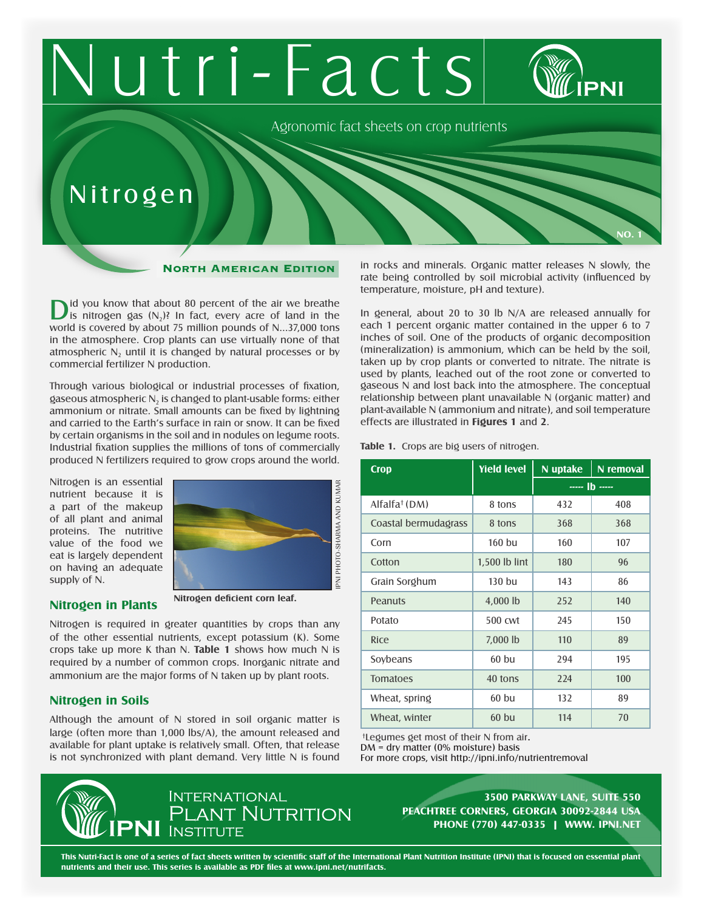# utri-Facts Agronomic fact sheets on crop nutrients Nitroge n

### North American Edition

 $\sum$  is nitrogen gas  $(N_2)$ ? In fact, every acre of land in the world is covered by about 75 million pounds of N...37,000 tons in the atmosphere. Crop plants can use virtually none of that atmospheric N<sub>2</sub> until it is changed by natural processes or by commercial fertilizer N production.

Through various biological or industrial processes of fixation, gaseous atmospheric  $N_2$  is changed to plant-usable forms: either ammonium or nitrate. Small amounts can be fixed by lightning and carried to the Earth's surface in rain or snow. It can be fixed by certain organisms in the soil and in nodules on legume roots. Industrial fixation supplies the millions of tons of commercially produced N fertilizers required to grow crops around the world.

Nitrogen is an essential nutrient because it is a part of the makeup of all plant and animal proteins. The nutritive value of the food we eat is largely dependent on having an adequate supply of N.



# **Nitrogen in Plants**

**Nitrogen deficient corn leaf.**

Nitrogen is required in greater quantities by crops than any of the other essential nutrients, except potassium (K). Some crops take up more K than N. **Table 1** shows how much N is required by a number of common crops. Inorganic nitrate and ammonium are the major forms of N taken up by plant roots.

# **Nitrogen in Soils**

Although the amount of N stored in soil organic matter is large (often more than 1,000 lbs/A), the amount released and available for plant uptake is relatively small. Often, that release is not synchronized with plant demand. Very little N is found in rocks and minerals. Organic matter releases N slowly, the rate being controlled by soil microbial activity (influenced by temperature, moisture, pH and texture).

**No. 1**

In general, about 20 to 30 lb N/A are released annually for each 1 percent organic matter contained in the upper 6 to 7 inches of soil. One of the products of organic decomposition (mineralization) is ammonium, which can be held by the soil, taken up by crop plants or converted to nitrate. The nitrate is used by plants, leached out of the root zone or converted to gaseous N and lost back into the atmosphere. The conceptual relationship between plant unavailable N (organic matter) and plant-available N (ammonium and nitrate), and soil temperature effects are illustrated in **Figures 1** and **2**.

#### **Table 1.** Crops are big users of nitrogen.

| <b>Crop</b>               | <b>Yield level</b> | N uptake     | N removal |
|---------------------------|--------------------|--------------|-----------|
|                           |                    | $- - 16 - -$ |           |
| Alfalfa <sup>†</sup> (DM) | 8 tons             | 432          | 408       |
| Coastal bermudagrass      | 8 tons             | 368          | 368       |
| Corn                      | 160 bu             | 160          | 107       |
| Cotton                    | 1,500 lb lint      | 180          | 96        |
| Grain Sorghum             | $130$ bu           | 143          | 86        |
| Peanuts                   | 4,000 lb           | 252          | 140       |
| Potato                    | 500 cwt            | 245          | 150       |
| Rice                      | 7,000 lb           | 110          | 89        |
| Soybeans                  | $60$ bu            | 294          | 195       |
| <b>Tomatoes</b>           | 40 tons            | 224          | 100       |
| Wheat, spring             | 60 bu              | 132          | 89        |
| Wheat, winter             | $60$ bu            | 114          | 70        |

\*Legumes get most of their N from air.  $DM = dry matter (0% moisture) basis$ For more crops, visit http://ipni.info/nutrientremoval

**INTERNATIONAL** PLANT NUTRITION **INSTITUTE** 

**3500 Parkway Lane, Suite 550 Peachtree Corners, Georgia 30092-2844 USA Phone (770) 447-0335 | www. ipni.net**

**This Nutri-Fact is one of a series of fact sheets written by scientific staff of the International Plant Nutrition Institute (IPNI) that is focused on essential plant nutrients and their use. This series is available as PDF files at www.ipni.net/nutrifacts.**